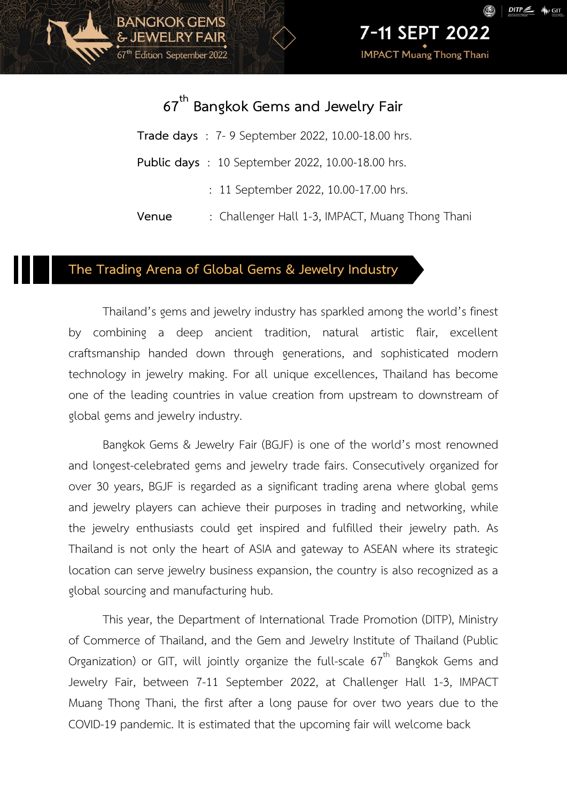7-11 SEPT 2022

**IMPACT Muang Thong Thani** 

## **67th Bangkok Gems and Jewelry Fair**

**Trade days** : 7- 9 September 2022, 10.00-18.00 hrs. **Public days** : 10 September 2022, 10.00-18.00 hrs. : 11 September 2022, 10.00-17.00 hrs. **Venue** : Challenger Hall 1-3, IMPACT, Muang Thong Thani

#### **The Trading Arena of Global Gems & Jewelry Industry**

**BANGKOK GEMS** 

67<sup>th</sup> Edition September 2022

Thailand's gems and jewelry industry has sparkled among the world's finest by combining a deep ancient tradition, natural artistic flair, excellent craftsmanship handed down through generations, and sophisticated modern technology in jewelry making. For all unique excellences, Thailand has become one of the leading countries in value creation from upstream to downstream of global gems and jewelry industry.

Bangkok Gems & Jewelry Fair (BGJF) is one of the world's most renowned and longest-celebrated gems and jewelry trade fairs. Consecutively organized for over 30 years, BGJF is regarded as a significant trading arena where global gems and jewelry players can achieve their purposes in trading and networking, while the jewelry enthusiasts could get inspired and fulfilled their jewelry path. As Thailand is not only the heart of ASIA and gateway to ASEAN where its strategic location can serve jewelry business expansion, the country is also recognized as a global sourcing and manufacturing hub.

This year, the Department of International Trade Promotion (DITP), Ministry of Commerce of Thailand, and the Gem and Jewelry Institute of Thailand (Public Organization) or GIT, will jointly organize the full-scale  $67<sup>th</sup>$  Bangkok Gems and Jewelry Fair, between 7-11 September 2022, at Challenger Hall 1-3, IMPACT Muang Thong Thani, the first after a long pause for over two years due to the COVID-19 pandemic. It is estimated that the upcoming fair will welcome back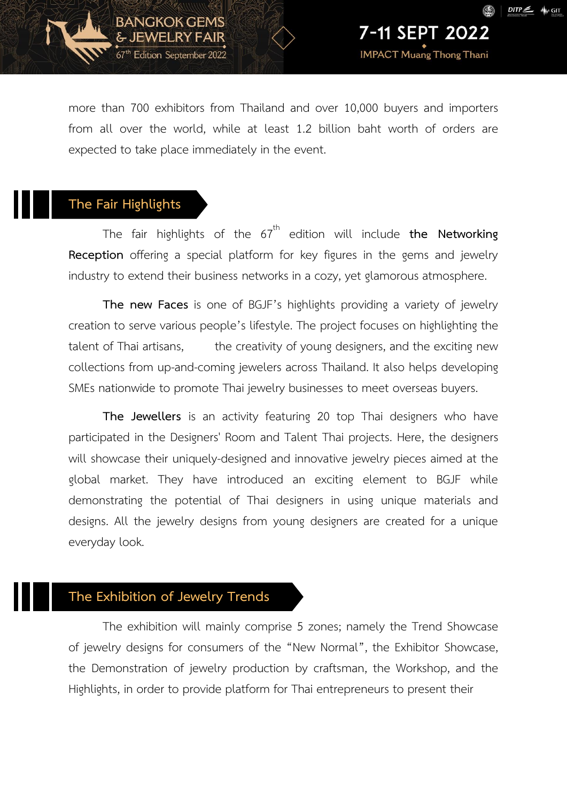

7-11 SEPT 2022

**IMPACT Muang Thong Thani** 

more than 700 exhibitors from Thailand and over 10,000 buyers and importers from all over the world, while at least 1.2 billion baht worth of orders are expected to take place immediately in the event.

#### **The Fair Highlights**

**BANGKOK GEMS** 

& JEWELRY FAIR 67<sup>th</sup> Edition September 2022

The fair highlights of the 67<sup>th</sup> edition will include **the Networking Reception** offering a special platform for key figures in the gems and jewelry industry to extend their business networks in a cozy, yet glamorous atmosphere.

**The new Faces** is one of BGJF's highlights providing a variety of jewelry creation to serve various people's lifestyle. The project focuses on highlighting the talent of Thai artisans, the creativity of young designers, and the exciting new collections from up-and-coming jewelers across Thailand. It also helps developing SMEs nationwide to promote Thai jewelry businesses to meet overseas buyers.

**The Jewellers** is an activity featuring 20 top Thai designers who have participated in the Designers' Room and Talent Thai projects. Here, the designers will showcase their uniquely-designed and innovative jewelry pieces aimed at the global market. They have introduced an exciting element to BGJF while demonstrating the potential of Thai designers in using unique materials and designs. All the jewelry designs from young designers are created for a unique everyday look.

#### **The Exhibition of Jewelry Trends**

The exhibition will mainly comprise 5 zones; namely the Trend Showcase of jewelry designs for consumers of the "New Normal", the Exhibitor Showcase, the Demonstration of jewelry production by craftsman, the Workshop, and the Highlights, in order to provide platform for Thai entrepreneurs to present their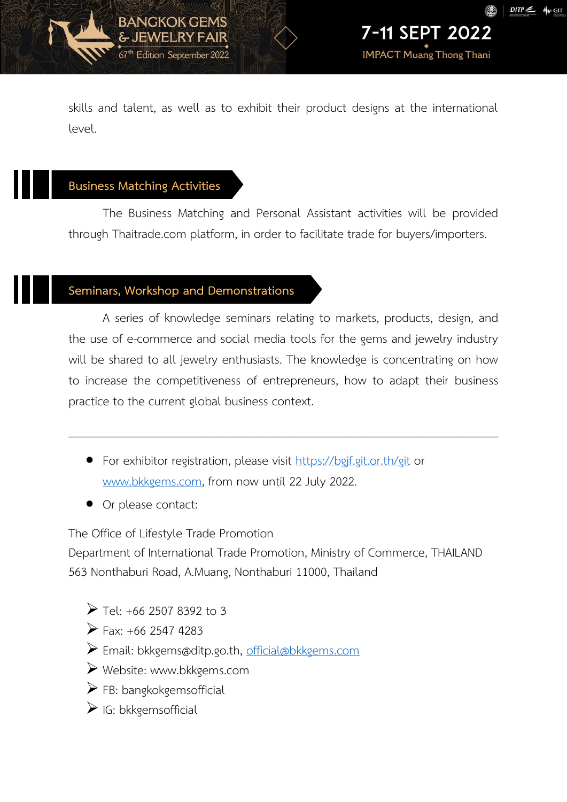**IMPACT Muang Thong Thani** 

skills and talent, as well as to exhibit their product designs at the international level.

#### **Business Matching Activities**

BANGKOK GEMS

& JEWELRY FAIR 67<sup>th</sup> Edition September 2022

The Business Matching and Personal Assistant activities will be provided through Thaitrade.com platform, in order to facilitate trade for buyers/importers.

### **Seminars, Workshop and Demonstrations**

A series of knowledge seminars relating to markets, products, design, and the use of e-commerce and social media tools for the gems and jewelry industry will be shared to all jewelry enthusiasts. The knowledge is concentrating on how to increase the competitiveness of entrepreneurs, how to adapt their business practice to the current global business context.

\_\_\_\_\_\_\_\_\_\_\_\_\_\_\_\_\_\_\_\_\_\_\_\_\_\_\_\_\_\_\_\_\_\_\_\_\_\_\_\_\_\_\_\_\_\_\_\_\_\_\_\_\_\_\_\_\_\_\_\_\_\_\_\_\_\_\_\_\_\_\_

- **•** For exhibitor registration, please visit<https://bgjf.git.or.th/git> or [www.bkkgems.com,](http://www.bkkgems.com/) from now until 22 July 2022.
- Or please contact:

The Office of Lifestyle Trade Promotion

Department of International Trade Promotion, Ministry of Commerce, THAILAND 563 Nonthaburi Road, A.Muang, Nonthaburi 11000, Thailand

- $\triangleright$  Tel: +66 2507 8392 to 3
- $\triangleright$  Fax: +66 2547 4283
- Email: bkkgems@ditp.go.th, [official@bkkgems.com](mailto:official@bkkgems.com)
- Website: [www.bkkgems.com](file:///D:/สำรองข้อมูล/Rampawan/12%20โครงการประชาสัมพันธ์%20BGJF%20ครั้งที่/ข้อมูลงาน%20ครั้งที่%2066_2564/www.bkkgems.com)
- $\triangleright$  FB: bangkokgemsofficial
- $\triangleright$  IG: bkkgemsofficial